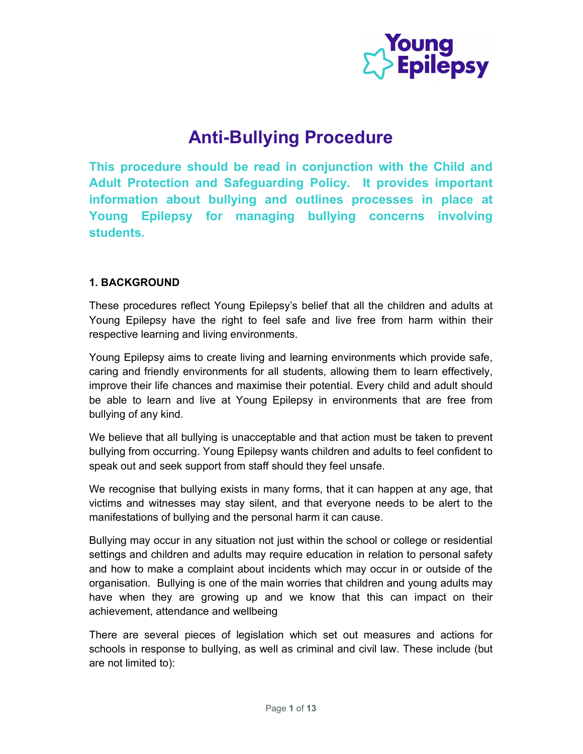

# Anti-Bullying Procedure

This procedure should be read in conjunction with the Child and Adult Protection and Safeguarding Policy. It provides important information about bullying and outlines processes in place at Young Epilepsy for managing bullying concerns involving students.

# 1. BACKGROUND

These procedures reflect Young Epilepsy's belief that all the children and adults at Young Epilepsy have the right to feel safe and live free from harm within their respective learning and living environments.

Young Epilepsy aims to create living and learning environments which provide safe, caring and friendly environments for all students, allowing them to learn effectively, improve their life chances and maximise their potential. Every child and adult should be able to learn and live at Young Epilepsy in environments that are free from bullying of any kind.

We believe that all bullying is unacceptable and that action must be taken to prevent bullying from occurring. Young Epilepsy wants children and adults to feel confident to speak out and seek support from staff should they feel unsafe.

We recognise that bullying exists in many forms, that it can happen at any age, that victims and witnesses may stay silent, and that everyone needs to be alert to the manifestations of bullying and the personal harm it can cause.

Bullying may occur in any situation not just within the school or college or residential settings and children and adults may require education in relation to personal safety and how to make a complaint about incidents which may occur in or outside of the organisation. Bullying is one of the main worries that children and young adults may have when they are growing up and we know that this can impact on their achievement, attendance and wellbeing

There are several pieces of legislation which set out measures and actions for schools in response to bullying, as well as criminal and civil law. These include (but are not limited to):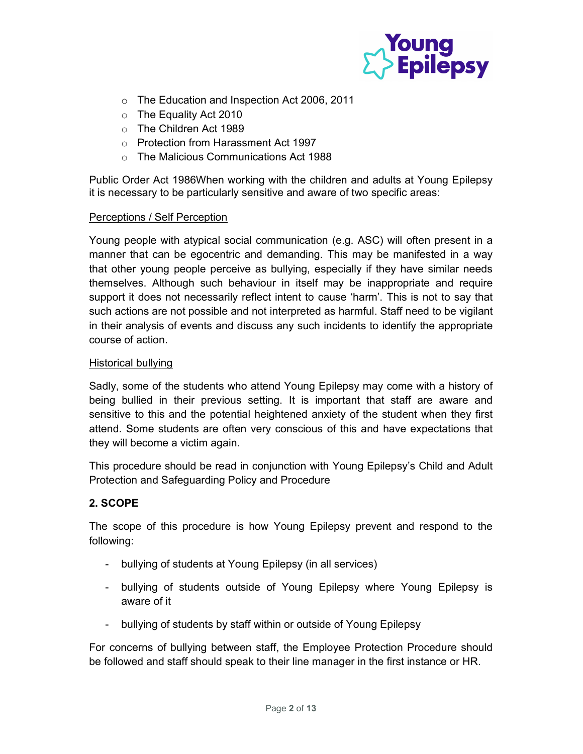

- o The Education and Inspection Act 2006, 2011
- o The Equality Act 2010
- o The Children Act 1989
- o Protection from Harassment Act 1997
- o The Malicious Communications Act 1988

Public Order Act 1986When working with the children and adults at Young Epilepsy it is necessary to be particularly sensitive and aware of two specific areas:

#### Perceptions / Self Perception

Young people with atypical social communication (e.g. ASC) will often present in a manner that can be egocentric and demanding. This may be manifested in a way that other young people perceive as bullying, especially if they have similar needs themselves. Although such behaviour in itself may be inappropriate and require support it does not necessarily reflect intent to cause 'harm'. This is not to say that such actions are not possible and not interpreted as harmful. Staff need to be vigilant in their analysis of events and discuss any such incidents to identify the appropriate course of action.

#### Historical bullying

Sadly, some of the students who attend Young Epilepsy may come with a history of being bullied in their previous setting. It is important that staff are aware and sensitive to this and the potential heightened anxiety of the student when they first attend. Some students are often very conscious of this and have expectations that they will become a victim again.

This procedure should be read in conjunction with Young Epilepsy's Child and Adult Protection and Safeguarding Policy and Procedure

# 2. SCOPE

The scope of this procedure is how Young Epilepsy prevent and respond to the following:

- bullying of students at Young Epilepsy (in all services)
- bullying of students outside of Young Epilepsy where Young Epilepsy is aware of it
- bullying of students by staff within or outside of Young Epilepsy

For concerns of bullying between staff, the Employee Protection Procedure should be followed and staff should speak to their line manager in the first instance or HR.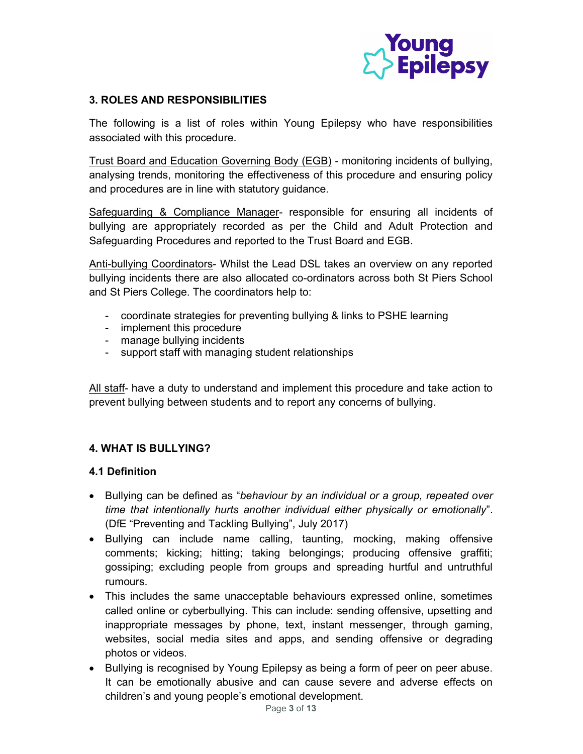

## 3. ROLES AND RESPONSIBILITIES

The following is a list of roles within Young Epilepsy who have responsibilities associated with this procedure.

Trust Board and Education Governing Body (EGB) - monitoring incidents of bullying, analysing trends, monitoring the effectiveness of this procedure and ensuring policy and procedures are in line with statutory guidance.

Safeguarding & Compliance Manager- responsible for ensuring all incidents of bullying are appropriately recorded as per the Child and Adult Protection and Safeguarding Procedures and reported to the Trust Board and EGB.

Anti-bullying Coordinators- Whilst the Lead DSL takes an overview on any reported bullying incidents there are also allocated co-ordinators across both St Piers School and St Piers College. The coordinators help to:

- coordinate strategies for preventing bullying & links to PSHE learning
- implement this procedure
- manage bullying incidents
- support staff with managing student relationships

All staff- have a duty to understand and implement this procedure and take action to prevent bullying between students and to report any concerns of bullying.

# 4. WHAT IS BULLYING?

## 4.1 Definition

- Bullying can be defined as "behaviour by an individual or a group, repeated over time that intentionally hurts another individual either physically or emotionally". (DfE "Preventing and Tackling Bullying", July 2017)
- Bullying can include name calling, taunting, mocking, making offensive comments; kicking; hitting; taking belongings; producing offensive graffiti; gossiping; excluding people from groups and spreading hurtful and untruthful rumours.
- This includes the same unacceptable behaviours expressed online, sometimes called online or cyberbullying. This can include: sending offensive, upsetting and inappropriate messages by phone, text, instant messenger, through gaming, websites, social media sites and apps, and sending offensive or degrading photos or videos.
- Bullying is recognised by Young Epilepsy as being a form of peer on peer abuse. It can be emotionally abusive and can cause severe and adverse effects on children's and young people's emotional development.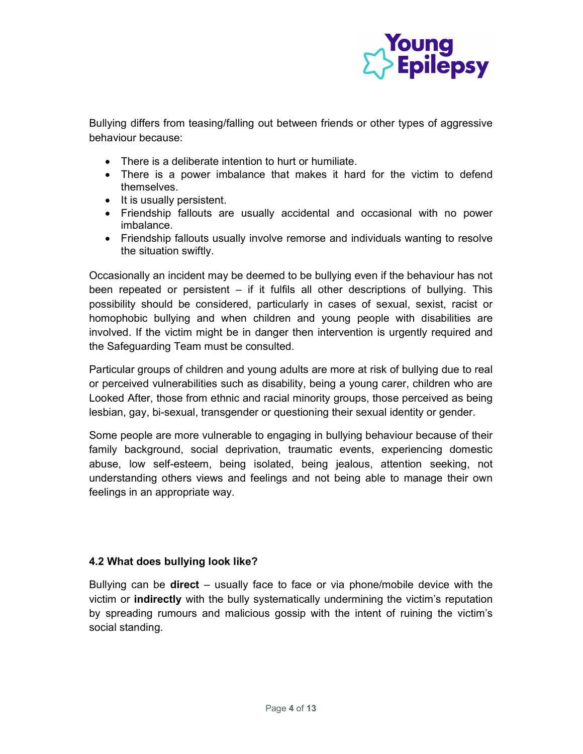

Bullying differs from teasing/falling out between friends or other types of aggressive behaviour because:

- There is a deliberate intention to hurt or humiliate.
- There is a power imbalance that makes it hard for the victim to defend themselves.
- It is usually persistent.
- Friendship fallouts are usually accidental and occasional with no power imbalance.
- Friendship fallouts usually involve remorse and individuals wanting to resolve the situation swiftly.

Occasionally an incident may be deemed to be bullying even if the behaviour has not been repeated or persistent – if it fulfils all other descriptions of bullying. This possibility should be considered, particularly in cases of sexual, sexist, racist or homophobic bullying and when children and young people with disabilities are involved. If the victim might be in danger then intervention is urgently required and the Safeguarding Team must be consulted.

Particular groups of children and young adults are more at risk of bullying due to real or perceived vulnerabilities such as disability, being a young carer, children who are Looked After, those from ethnic and racial minority groups, those perceived as being lesbian, gay, bi-sexual, transgender or questioning their sexual identity or gender.

Some people are more vulnerable to engaging in bullying behaviour because of their family background, social deprivation, traumatic events, experiencing domestic abuse, low self-esteem, being isolated, being jealous, attention seeking, not understanding others views and feelings and not being able to manage their own feelings in an appropriate way.

# 4.2 What does bullying look like?

Bullying can be **direct** – usually face to face or via phone/mobile device with the victim or indirectly with the bully systematically undermining the victim's reputation by spreading rumours and malicious gossip with the intent of ruining the victim's social standing.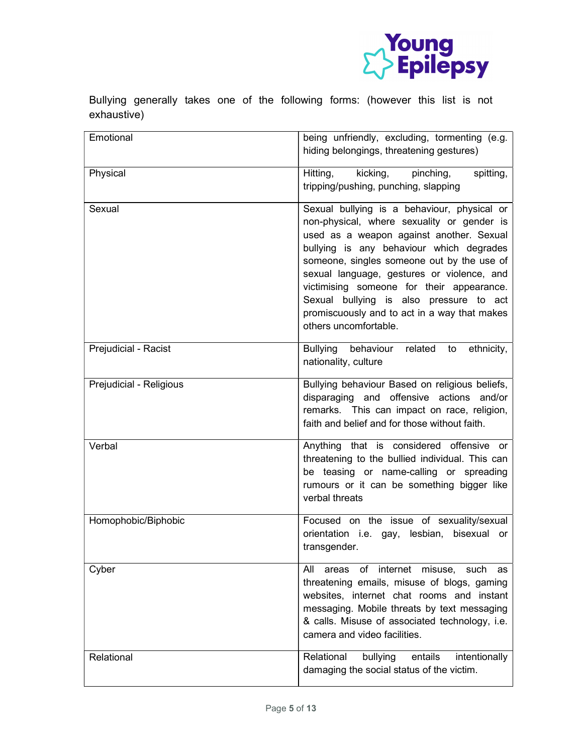

Bullying generally takes one of the following forms: (however this list is not exhaustive)

| Emotional               | being unfriendly, excluding, tormenting (e.g.<br>hiding belongings, threatening gestures)                                                                                                                                                                                                                                                                                                                                                      |
|-------------------------|------------------------------------------------------------------------------------------------------------------------------------------------------------------------------------------------------------------------------------------------------------------------------------------------------------------------------------------------------------------------------------------------------------------------------------------------|
| Physical                | Hitting, kicking,<br>spitting,<br>pinching,<br>tripping/pushing, punching, slapping                                                                                                                                                                                                                                                                                                                                                            |
| Sexual                  | Sexual bullying is a behaviour, physical or<br>non-physical, where sexuality or gender is<br>used as a weapon against another. Sexual<br>bullying is any behaviour which degrades<br>someone, singles someone out by the use of<br>sexual language, gestures or violence, and<br>victimising someone for their appearance.<br>Sexual bullying is also pressure to act<br>promiscuously and to act in a way that makes<br>others uncomfortable. |
| Prejudicial - Racist    | Bullying behaviour<br>related<br>to<br>ethnicity,<br>nationality, culture                                                                                                                                                                                                                                                                                                                                                                      |
| Prejudicial - Religious | Bullying behaviour Based on religious beliefs,<br>disparaging and offensive actions and/or<br>remarks. This can impact on race, religion,<br>faith and belief and for those without faith.                                                                                                                                                                                                                                                     |
| Verbal                  | Anything that is considered offensive or<br>threatening to the bullied individual. This can<br>be teasing or name-calling or spreading<br>rumours or it can be something bigger like<br>verbal threats                                                                                                                                                                                                                                         |
| Homophobic/Biphobic     | Focused on the issue of sexuality/sexual<br>orientation i.e. gay, lesbian, bisexual<br>or<br>transgender.                                                                                                                                                                                                                                                                                                                                      |
| Cyber                   | internet<br>All<br>misuse,<br>areas<br>of<br>such<br>as<br>threatening emails, misuse of blogs, gaming<br>websites, internet chat rooms and instant<br>messaging. Mobile threats by text messaging<br>& calls. Misuse of associated technology, i.e.<br>camera and video facilities.                                                                                                                                                           |
| Relational              | Relational<br>bullying<br>entails<br>intentionally<br>damaging the social status of the victim.                                                                                                                                                                                                                                                                                                                                                |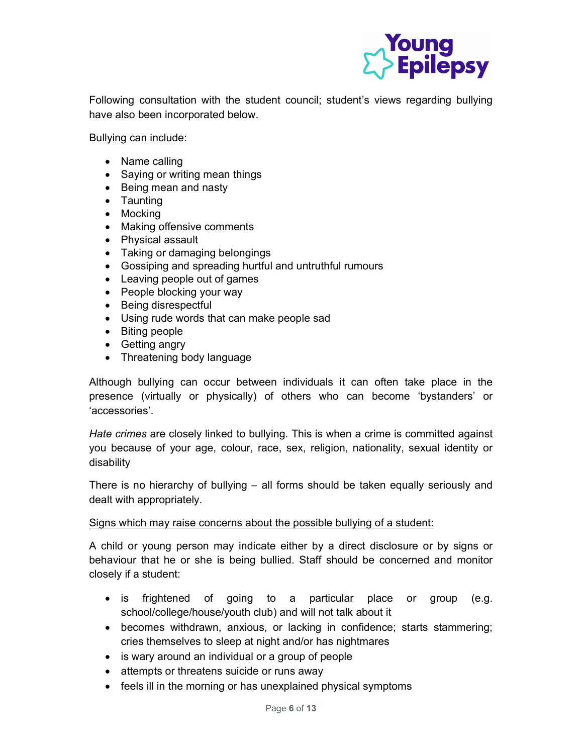

Following consultation with the student council; student's views regarding bullying have also been incorporated below.

Bullying can include:

- Name calling
- Saying or writing mean things
- Being mean and nasty
- Taunting
- Mocking
- Making offensive comments
- Physical assault
- Taking or damaging belongings
- Gossiping and spreading hurtful and untruthful rumours
- Leaving people out of games
- People blocking your way
- Being disrespectful
- Using rude words that can make people sad
- Biting people
- Getting angry
- Threatening body language

Although bullying can occur between individuals it can often take place in the presence (virtually or physically) of others who can become 'bystanders' or 'accessories'.

Hate crimes are closely linked to bullying. This is when a crime is committed against you because of your age, colour, race, sex, religion, nationality, sexual identity or disability

There is no hierarchy of bullying – all forms should be taken equally seriously and dealt with appropriately.

#### Signs which may raise concerns about the possible bullying of a student:

A child or young person may indicate either by a direct disclosure or by signs or behaviour that he or she is being bullied. Staff should be concerned and monitor closely if a student:

- is frightened of going to a particular place or group (e.g. school/college/house/youth club) and will not talk about it
- becomes withdrawn, anxious, or lacking in confidence; starts stammering; cries themselves to sleep at night and/or has nightmares
- is wary around an individual or a group of people
- attempts or threatens suicide or runs away
- feels ill in the morning or has unexplained physical symptoms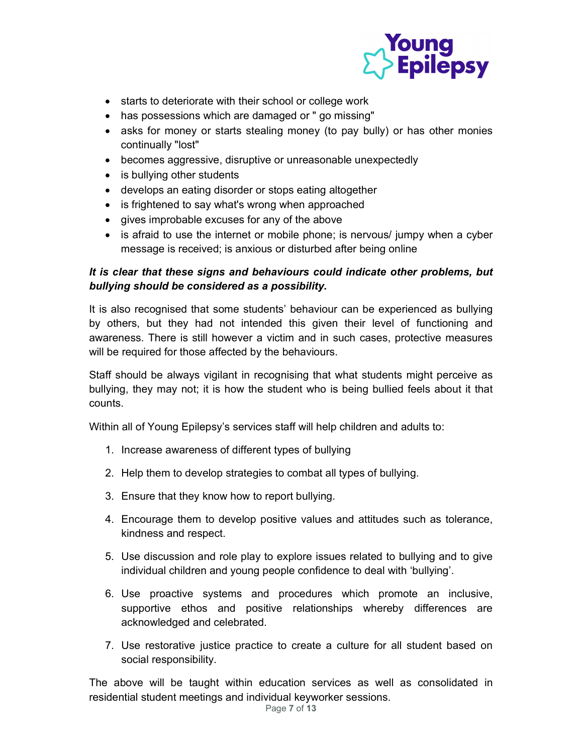

- starts to deteriorate with their school or college work
- has possessions which are damaged or " go missing"
- asks for money or starts stealing money (to pay bully) or has other monies continually "lost"
- becomes aggressive, disruptive or unreasonable unexpectedly
- is bullying other students
- develops an eating disorder or stops eating altogether
- is frightened to say what's wrong when approached
- gives improbable excuses for any of the above
- is afraid to use the internet or mobile phone; is nervous/ jumpy when a cyber message is received; is anxious or disturbed after being online

# It is clear that these signs and behaviours could indicate other problems, but bullying should be considered as a possibility.

It is also recognised that some students' behaviour can be experienced as bullying by others, but they had not intended this given their level of functioning and awareness. There is still however a victim and in such cases, protective measures will be required for those affected by the behaviours.

Staff should be always vigilant in recognising that what students might perceive as bullying, they may not; it is how the student who is being bullied feels about it that counts.

Within all of Young Epilepsy's services staff will help children and adults to:

- 1. Increase awareness of different types of bullying
- 2. Help them to develop strategies to combat all types of bullying.
- 3. Ensure that they know how to report bullying.
- 4. Encourage them to develop positive values and attitudes such as tolerance, kindness and respect.
- 5. Use discussion and role play to explore issues related to bullying and to give individual children and young people confidence to deal with 'bullying'.
- 6. Use proactive systems and procedures which promote an inclusive, supportive ethos and positive relationships whereby differences are acknowledged and celebrated.
- 7. Use restorative justice practice to create a culture for all student based on social responsibility.

The above will be taught within education services as well as consolidated in residential student meetings and individual keyworker sessions.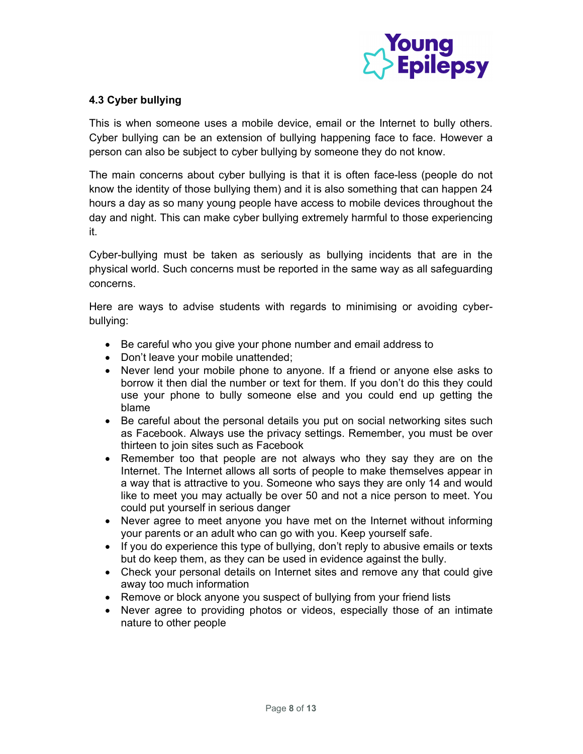

## 4.3 Cyber bullying

This is when someone uses a mobile device, email or the Internet to bully others. Cyber bullying can be an extension of bullying happening face to face. However a person can also be subject to cyber bullying by someone they do not know.

The main concerns about cyber bullying is that it is often face-less (people do not know the identity of those bullying them) and it is also something that can happen 24 hours a day as so many young people have access to mobile devices throughout the day and night. This can make cyber bullying extremely harmful to those experiencing it.

Cyber-bullying must be taken as seriously as bullying incidents that are in the physical world. Such concerns must be reported in the same way as all safeguarding concerns.

Here are ways to advise students with regards to minimising or avoiding cyberbullying:

- Be careful who you give your phone number and email address to
- Don't leave your mobile unattended;
- Never lend your mobile phone to anyone. If a friend or anyone else asks to borrow it then dial the number or text for them. If you don't do this they could use your phone to bully someone else and you could end up getting the blame
- Be careful about the personal details you put on social networking sites such as Facebook. Always use the privacy settings. Remember, you must be over thirteen to join sites such as Facebook
- Remember too that people are not always who they say they are on the Internet. The Internet allows all sorts of people to make themselves appear in a way that is attractive to you. Someone who says they are only 14 and would like to meet you may actually be over 50 and not a nice person to meet. You could put yourself in serious danger
- Never agree to meet anyone you have met on the Internet without informing your parents or an adult who can go with you. Keep yourself safe.
- If you do experience this type of bullying, don't reply to abusive emails or texts but do keep them, as they can be used in evidence against the bully.
- Check your personal details on Internet sites and remove any that could give away too much information
- Remove or block anyone you suspect of bullying from your friend lists
- Never agree to providing photos or videos, especially those of an intimate nature to other people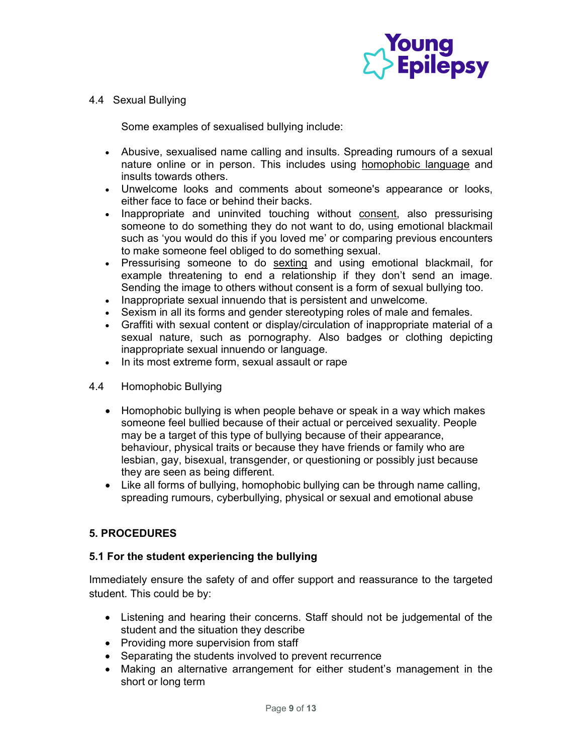

#### 4.4 Sexual Bullying

Some examples of sexualised bullying include:

- Abusive, sexualised name calling and insults. Spreading rumours of a sexual nature online or in person. This includes using homophobic language and insults towards others.
- Unwelcome looks and comments about someone's appearance or looks, either face to face or behind their backs.
- Inappropriate and uninvited touching without consent, also pressurising someone to do something they do not want to do, using emotional blackmail such as 'you would do this if you loved me' or comparing previous encounters to make someone feel obliged to do something sexual.
- Pressurising someone to do sexting and using emotional blackmail, for example threatening to end a relationship if they don't send an image. Sending the image to others without consent is a form of sexual bullying too.
- Inappropriate sexual innuendo that is persistent and unwelcome.
- Sexism in all its forms and gender stereotyping roles of male and females.
- Graffiti with sexual content or display/circulation of inappropriate material of a sexual nature, such as pornography. Also badges or clothing depicting inappropriate sexual innuendo or language.
- In its most extreme form, sexual assault or rape
- 4.4 Homophobic Bullying
	- Homophobic bullying is when people behave or speak in a way which makes someone feel bullied because of their actual or perceived sexuality. People may be a target of this type of bullying because of their appearance, behaviour, physical traits or because they have friends or family who are lesbian, gay, bisexual, transgender, or questioning or possibly just because they are seen as being different.
	- Like all forms of bullying, homophobic bullying can be through name calling, spreading rumours, cyberbullying, physical or sexual and emotional abuse

## 5. PROCEDURES

## 5.1 For the student experiencing the bullying

Immediately ensure the safety of and offer support and reassurance to the targeted student. This could be by:

- Listening and hearing their concerns. Staff should not be judgemental of the student and the situation they describe
- Providing more supervision from staff
- Separating the students involved to prevent recurrence
- Making an alternative arrangement for either student's management in the short or long term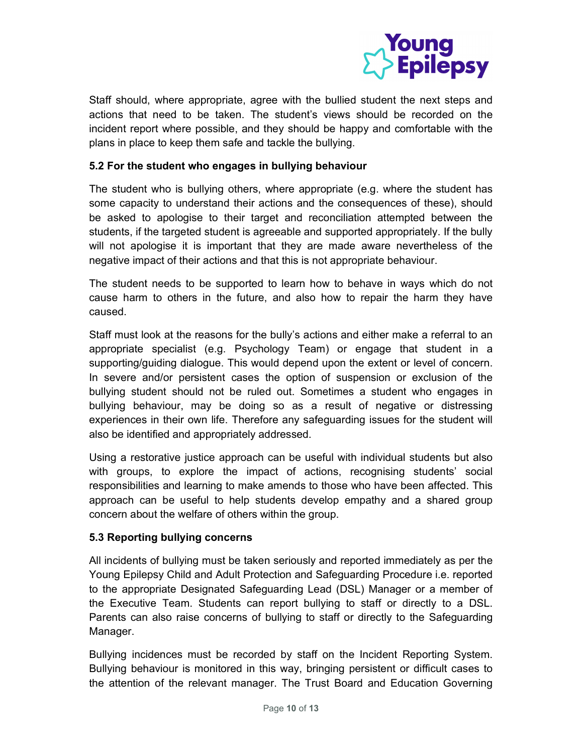

Staff should, where appropriate, agree with the bullied student the next steps and actions that need to be taken. The student's views should be recorded on the incident report where possible, and they should be happy and comfortable with the plans in place to keep them safe and tackle the bullying.

#### 5.2 For the student who engages in bullying behaviour

The student who is bullying others, where appropriate (e.g. where the student has some capacity to understand their actions and the consequences of these), should be asked to apologise to their target and reconciliation attempted between the students, if the targeted student is agreeable and supported appropriately. If the bully will not apologise it is important that they are made aware nevertheless of the negative impact of their actions and that this is not appropriate behaviour.

The student needs to be supported to learn how to behave in ways which do not cause harm to others in the future, and also how to repair the harm they have caused.

Staff must look at the reasons for the bully's actions and either make a referral to an appropriate specialist (e.g. Psychology Team) or engage that student in a supporting/guiding dialogue. This would depend upon the extent or level of concern. In severe and/or persistent cases the option of suspension or exclusion of the bullying student should not be ruled out. Sometimes a student who engages in bullying behaviour, may be doing so as a result of negative or distressing experiences in their own life. Therefore any safeguarding issues for the student will also be identified and appropriately addressed.

Using a restorative justice approach can be useful with individual students but also with groups, to explore the impact of actions, recognising students' social responsibilities and learning to make amends to those who have been affected. This approach can be useful to help students develop empathy and a shared group concern about the welfare of others within the group.

## 5.3 Reporting bullying concerns

All incidents of bullying must be taken seriously and reported immediately as per the Young Epilepsy Child and Adult Protection and Safeguarding Procedure i.e. reported to the appropriate Designated Safeguarding Lead (DSL) Manager or a member of the Executive Team. Students can report bullying to staff or directly to a DSL. Parents can also raise concerns of bullying to staff or directly to the Safeguarding Manager.

Bullying incidences must be recorded by staff on the Incident Reporting System. Bullying behaviour is monitored in this way, bringing persistent or difficult cases to the attention of the relevant manager. The Trust Board and Education Governing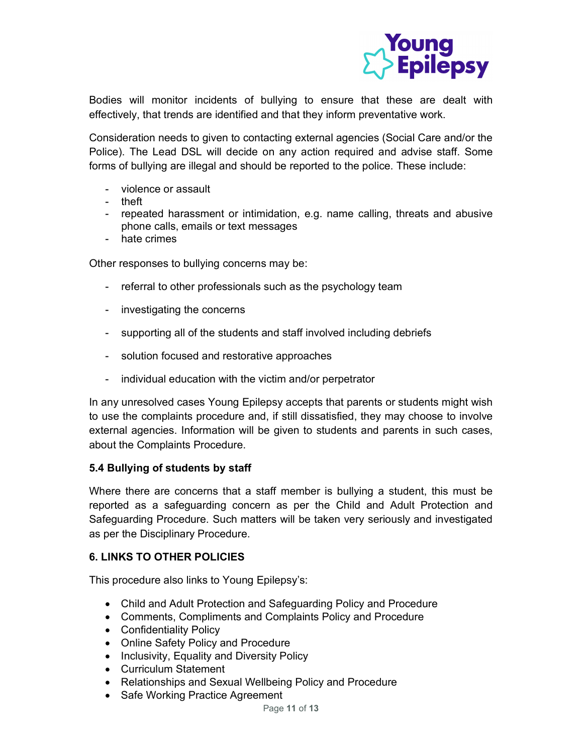

Bodies will monitor incidents of bullying to ensure that these are dealt with effectively, that trends are identified and that they inform preventative work.

Consideration needs to given to contacting external agencies (Social Care and/or the Police). The Lead DSL will decide on any action required and advise staff. Some forms of bullying are illegal and should be reported to the police. These include:

- violence or assault
- theft
- repeated harassment or intimidation, e.g. name calling, threats and abusive phone calls, emails or text messages
- pnone calls,<br>hate crimes

Other responses to bullying concerns may be:

- referral to other professionals such as the psychology team
- investigating the concerns
- supporting all of the students and staff involved including debriefs
- solution focused and restorative approaches
- individual education with the victim and/or perpetrator

In any unresolved cases Young Epilepsy accepts that parents or students might wish to use the complaints procedure and, if still dissatisfied, they may choose to involve external agencies. Information will be given to students and parents in such cases, about the Complaints Procedure.

#### 5.4 Bullying of students by staff

Where there are concerns that a staff member is bullying a student, this must be reported as a safeguarding concern as per the Child and Adult Protection and Safeguarding Procedure. Such matters will be taken very seriously and investigated as per the Disciplinary Procedure.

#### 6. LINKS TO OTHER POLICIES

This procedure also links to Young Epilepsy's:

- Child and Adult Protection and Safeguarding Policy and Procedure
- Comments, Compliments and Complaints Policy and Procedure
- Confidentiality Policy
- Online Safety Policy and Procedure
- Inclusivity, Equality and Diversity Policy
- Curriculum Statement
- Relationships and Sexual Wellbeing Policy and Procedure
- Safe Working Practice Agreement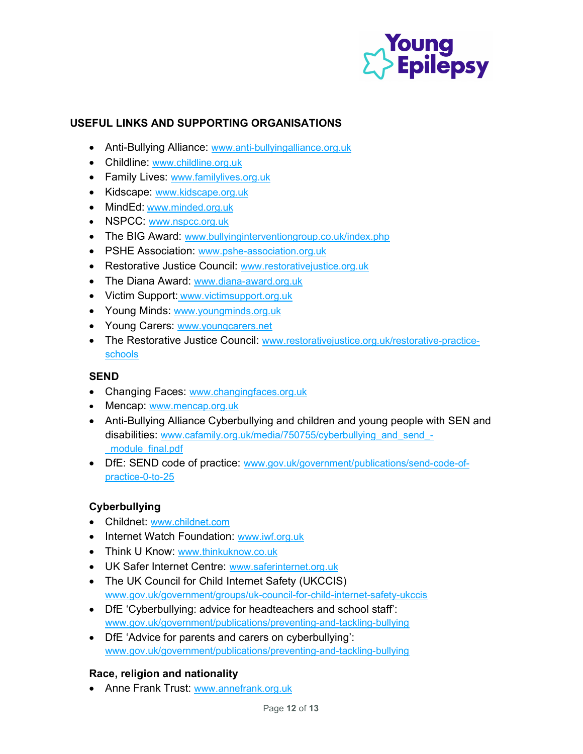

# USEFUL LINKS AND SUPPORTING ORGANISATIONS

- Anti-Bullying Alliance: www.anti-bullyingalliance.org.uk
- Childline: www.childline.org.uk
- **Family Lives: www.familylives.org.uk**
- Kidscape: www.kidscape.org.uk
- MindEd: www.minded.org.uk
- NSPCC: www.nspcc.org.uk
- The BIG Award: www.bullyinginterventiongroup.co.uk/index.php
- PSHE Association: www.pshe-association.org.uk
- Restorative Justice Council: www.restorativejustice.org.uk
- The Diana Award: www.diana-award.org.uk
- Victim Support: www.victimsupport.org.uk
- Young Minds: www.youngminds.org.uk
- Young Carers: www.youngcarers.net
- The Restorative Justice Council: www.restorativejustice.org.uk/restorative-practiceschools

#### **SEND**

- Changing Faces: www.changingfaces.org.uk
- Mencap: www.mencap.org.uk
- Anti-Bullying Alliance Cyberbullying and children and young people with SEN and disabilities: www.cafamily.org.uk/media/750755/cyberbullying\_and\_send -\_module\_final.pdf
- DfE: SEND code of practice: www.gov.uk/government/publications/send-code-ofpractice-0-to-25

## Cyberbullying

- Childnet: www.childnet.com
- Internet Watch Foundation: www.iwf.org.uk
- **Think U Know: www.thinkuknow.co.uk**
- UK Safer Internet Centre: www.saferinternet.org.uk
- The UK Council for Child Internet Safety (UKCCIS) www.gov.uk/government/groups/uk-council-for-child-internet-safety-ukccis
- DfE 'Cyberbullying: advice for headteachers and school staff': www.gov.uk/government/publications/preventing-and-tackling-bullying
- DfE 'Advice for parents and carers on cyberbullying': www.gov.uk/government/publications/preventing-and-tackling-bullying

#### Race, religion and nationality

• Anne Frank Trust: www.annefrank.org.uk